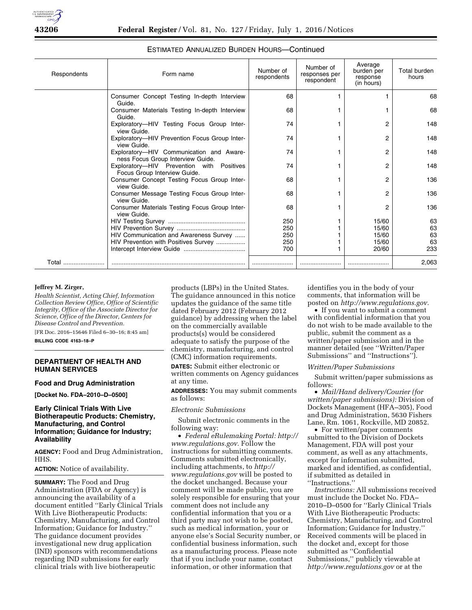

| Respondents | Form name                                                                     | Number of<br>respondents | Number of<br>responses per<br>respondent | Average<br>burden per<br>response<br>(in hours) | <b>Total burden</b><br>hours |
|-------------|-------------------------------------------------------------------------------|--------------------------|------------------------------------------|-------------------------------------------------|------------------------------|
|             | Consumer Concept Testing In-depth Interview<br>Guide.                         | 68                       |                                          |                                                 | 68                           |
|             | Consumer Materials Testing In-depth Interview<br>Guide.                       | 68                       |                                          |                                                 | 68                           |
|             | Exploratory-HIV Testing Focus Group Inter-<br>view Guide.                     | 74                       |                                          | 2                                               | 148                          |
|             | Exploratory-HIV Prevention Focus Group Inter-<br>view Guide.                  | 74                       |                                          | 2                                               | 148                          |
|             | Exploratory-HIV Communication and Aware-<br>ness Focus Group Interview Guide. | 74                       |                                          | 2                                               | 148                          |
|             | Exploratory-HIV Prevention with Positives<br>Focus Group Interview Guide.     | 74                       |                                          | 2                                               | 148                          |
|             | Consumer Concept Testing Focus Group Inter-<br>view Guide.                    | 68                       |                                          | 2                                               | 136                          |
|             | Consumer Message Testing Focus Group Inter-<br>view Guide.                    | 68                       |                                          | 2                                               | 136                          |
|             | Consumer Materials Testing Focus Group Inter-<br>view Guide.                  | 68                       |                                          | 2                                               | 136                          |
|             |                                                                               | 250                      |                                          | 15/60                                           | 63                           |
|             |                                                                               | 250                      |                                          | 15/60                                           | 63                           |
|             | HIV Communication and Awareness Survey                                        | 250                      |                                          | 15/60                                           | 63                           |
|             | HIV Prevention with Positives Survey                                          | 250                      |                                          | 15/60                                           | 63                           |
|             |                                                                               | 700                      |                                          | 20/60                                           | 233                          |
| Total       |                                                                               |                          |                                          |                                                 | 2,063                        |

### ESTIMATED ANNUALIZED BURDEN HOURS—Continued

## **Jeffrey M. Zirger,**

*Health Scientist, Acting Chief, Information Collection Review Office, Office of Scientific Integrity, Office of the Associate Director for Science, Office of the Director, Centers for Disease Control and Prevention.* 

[FR Doc. 2016–15646 Filed 6–30–16; 8:45 am] **BILLING CODE 4163–18–P** 

# **DEPARTMENT OF HEALTH AND**

# **HUMAN SERVICES**

#### **Food and Drug Administration**

**[Docket No. FDA–2010–D–0500]** 

### **Early Clinical Trials With Live Biotherapeutic Products: Chemistry, Manufacturing, and Control Information; Guidance for Industry; Availability**

**AGENCY:** Food and Drug Administration, HHS.

#### **ACTION:** Notice of availability.

**SUMMARY:** The Food and Drug Administration (FDA or Agency) is announcing the availability of a document entitled ''Early Clinical Trials With Live Biotherapeutic Products: Chemistry, Manufacturing, and Control Information; Guidance for Industry.'' The guidance document provides investigational new drug application (IND) sponsors with recommendations regarding IND submissions for early clinical trials with live biotherapeutic

products (LBPs) in the United States. The guidance announced in this notice updates the guidance of the same title dated February 2012 (February 2012 guidance) by addressing when the label on the commercially available products(s) would be considered adequate to satisfy the purpose of the chemistry, manufacturing, and control (CMC) information requirements.

**DATES:** Submit either electronic or written comments on Agency guidances at any time.

**ADDRESSES:** You may submit comments as follows:

#### *Electronic Submissions*

Submit electronic comments in the following way:

• *Federal eRulemaking Portal: [http://](http://www.regulations.gov)  [www.regulations.gov.](http://www.regulations.gov)* Follow the instructions for submitting comments. Comments submitted electronically, including attachments, to *[http://](http://www.regulations.gov) [www.regulations.gov](http://www.regulations.gov)* will be posted to the docket unchanged. Because your comment will be made public, you are solely responsible for ensuring that your comment does not include any confidential information that you or a third party may not wish to be posted, such as medical information, your or anyone else's Social Security number, or confidential business information, such as a manufacturing process. Please note that if you include your name, contact information, or other information that

identifies you in the body of your comments, that information will be posted on *[http://www.regulations.gov.](http://www.regulations.gov)* 

• If you want to submit a comment with confidential information that you do not wish to be made available to the public, submit the comment as a written/paper submission and in the manner detailed (see ''Written/Paper Submissions'' and ''Instructions'').

#### *Written/Paper Submissions*

Submit written/paper submissions as follows:

• *Mail/Hand delivery/Courier (for written/paper submissions):* Division of Dockets Management (HFA–305), Food and Drug Administration, 5630 Fishers Lane, Rm. 1061, Rockville, MD 20852.

• For written/paper comments submitted to the Division of Dockets Management, FDA will post your comment, as well as any attachments, except for information submitted, marked and identified, as confidential, if submitted as detailed in ''Instructions.''

*Instructions:* All submissions received must include the Docket No. FDA– 2010–D–0500 for ''Early Clinical Trials With Live Biotherapeutic Products: Chemistry, Manufacturing, and Control Information; Guidance for Industry.'' Received comments will be placed in the docket and, except for those submitted as ''Confidential Submissions,'' publicly viewable at *<http://www.regulations.gov>* or at the